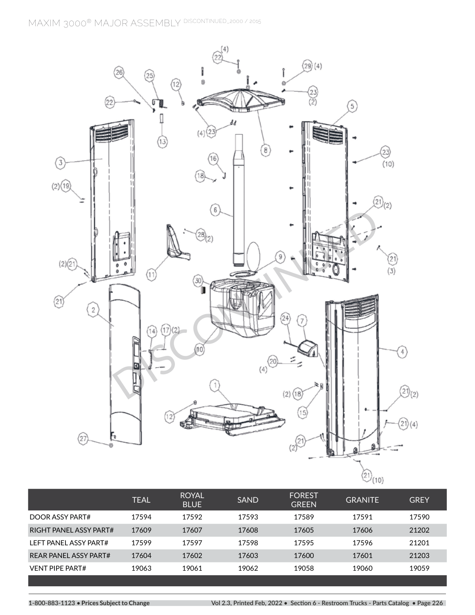**MAXIM 3000® MAJOR ASSEMBLY DISCONTINUED\_2000 / 2015**



|                       | <b>TEAL</b> | <b>ROYAL</b><br><b>BLUE</b> | <b>SAND</b> | <b>FOREST</b><br><b>GREEN</b> | <b>GRANITE</b> | <b>GREY</b> |
|-----------------------|-------------|-----------------------------|-------------|-------------------------------|----------------|-------------|
| DOOR ASSY PART#       | 17594       | 17592                       | 17593       | 17589                         | 17591          | 17590       |
| RIGHT PANFLASSY PART# | 17609       | 17607                       | 17608       | 17605                         | 17606          | 21202       |
| LEFT PANEL ASSY PART# | 17599       | 17597                       | 17598       | 17595                         | 17596          | 21201       |
| REAR PANEL ASSY PART# | 17604       | 17602                       | 17603       | 17600                         | 17601          | 21203       |
| VENT PIPE PART#       | 19063       | 19061                       | 19062       | 19058                         | 19060          | 19059       |
|                       |             |                             |             |                               |                |             |

**1-800-883-1123 • Prices Subject to Change Vol 2.3, Printed Feb, 2022 • Section 6 - Restroom Trucks - Parts Catalog • Page 226**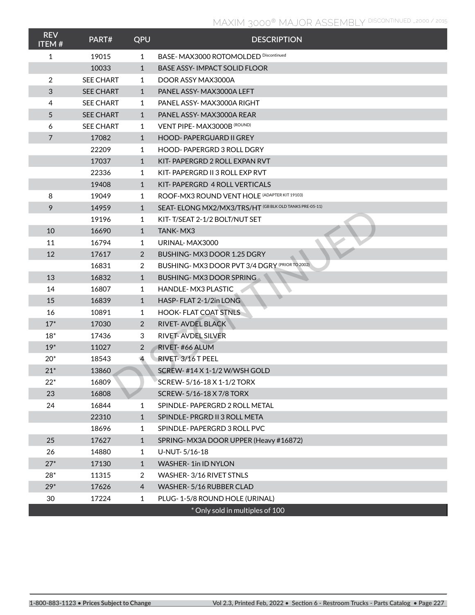## **MAXIM 3000® MAJOR ASSEMBLY DISCONTINUED \_2000 / 2015**

| <b>REV</b><br><b>ITEM#</b> | PART#            | QPU            | <b>DESCRIPTION</b>                                      |
|----------------------------|------------------|----------------|---------------------------------------------------------|
| 1                          | 19015            | 1              | BASE- MAX3000 ROTOMOLDED Discontinued                   |
|                            | 10033            | $\mathbf{1}$   | <b>BASE ASSY-IMPACT SOLID FLOOR</b>                     |
| 2                          | <b>SEE CHART</b> | 1              | DOOR ASSY MAX3000A                                      |
| 3                          | <b>SEE CHART</b> | $\mathbf{1}$   | PANEL ASSY-MAX3000A LEFT                                |
| 4                          | <b>SEE CHART</b> | 1              | PANEL ASSY-MAX3000A RIGHT                               |
| 5                          | <b>SEE CHART</b> | $\mathbf{1}$   | PANEL ASSY-MAX3000A REAR                                |
| 6                          | <b>SEE CHART</b> | 1              | VENT PIPE-MAX3000B (ROUND)                              |
| $\overline{7}$             | 17082            | $\mathbf{1}$   | <b>HOOD-PAPERGUARD II GREY</b>                          |
|                            | 22209            | 1              | HOOD-PAPERGRD 3 ROLL DGRY                               |
|                            | 17037            | $\mathbf{1}$   | KIT-PAPERGRD 2 ROLL EXPAN RVT                           |
|                            | 22336            | 1              | KIT-PAPERGRD II 3 ROLL EXP RVT                          |
|                            | 19408            | $\mathbf{1}$   | KIT-PAPERGRD 4 ROLL VERTICALS                           |
| 8                          | 19049            | 1              | ROOF-MX3 ROUND VENT HOLE (ADAPTER KIT 19103)            |
| 9                          | 14959            | $\mathbf{1}$   | SEAT- ELONG MX2/MX3/TRS/HT (GB BLK OLD TANKS PRE-05-11) |
|                            | 19196            | 1              | KIT-T/SEAT 2-1/2 BOLT/NUT SET                           |
| 10                         | 16690            | $\mathbf{1}$   | TANK-MX3                                                |
| 11                         | 16794            | 1              | URINAL-MAX3000                                          |
| 12                         | 17617            | 2              | BUSHING-MX3 DOOR 1.25 DGRY                              |
|                            | 16831            | 2              | BUSHING- MX3 DOOR PVT 3/4 DGRY (PRIOR TO 2002)          |
| 13                         | 16832            | $\mathbf{1}$   | BUSHING-MX3 DOOR SPRING                                 |
| 14                         | 16807            | 1              | <b>HANDLE-MX3 PLASTIC</b>                               |
| 15                         | 16839            | $\mathbf{1}$   | HASP-FLAT 2-1/2in LONG                                  |
| 16                         | 10891            | 1              | <b>HOOK-FLAT COAT STNLS</b>                             |
| $17*$                      | 17030            | $\overline{2}$ | RIVET-AVDEL BLACK                                       |
| $18*$                      | 17436            | 3              | RIVET-AVDEL SILVER                                      |
| $19*$                      | 11027            | 2              | RIVET-#66 ALUM                                          |
| $20*$                      | 18543            | $\overline{4}$ | RIVET-3/16 T PEEL                                       |
| $21*$                      | 13860            |                | SCREW-#14 X 1-1/2 W/WSH GOLD                            |
| $22*$                      | 16809            |                | SCREW-5/16-18 X 1-1/2 TORX                              |
| 23                         | 16808            |                | SCREW-5/16-18 X 7/8 TORX                                |
| 24                         | 16844            | 1              | SPINDLE-PAPERGRD 2 ROLL METAL                           |
|                            | 22310            | $\mathbf{1}$   | SPINDLE-PRGRD II 3 ROLL META                            |
|                            | 18696            | 1              | SPINDLE-PAPERGRD 3 ROLL PVC                             |
| 25                         | 17627            | $\mathbf{1}$   | SPRING-MX3A DOOR UPPER (Heavy #16872)                   |
| 26                         | 14880            | 1              | U-NUT-5/16-18                                           |
| $27*$                      | 17130            | $\mathbf{1}$   | WASHER-1in ID NYLON                                     |
| $28*$                      | 11315            | 2              | WASHER-3/16 RIVET STNLS                                 |
| $29*$                      | 17626            | $\overline{4}$ | WASHER-5/16 RUBBER CLAD                                 |
| 30                         | 17224            | 1              | PLUG-1-5/8 ROUND HOLE (URINAL)                          |
|                            |                  |                | * Only sold in multiples of 100                         |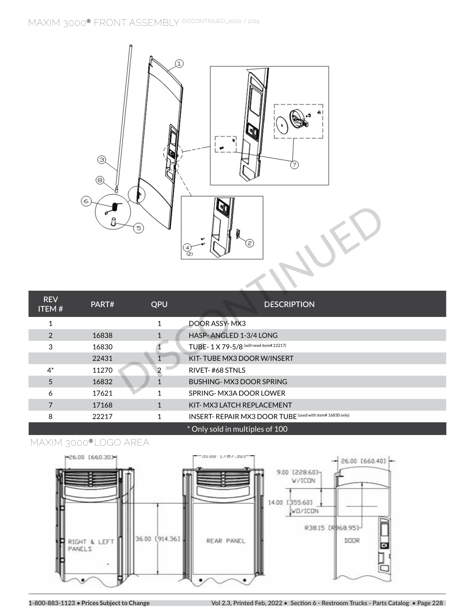## **MAXIM 3000**® **FRONT ASSEMBLY DISCONTINUED\_2000 / 2015**



|                            |       | 5)           | l off<br>2)                                               |
|----------------------------|-------|--------------|-----------------------------------------------------------|
| <b>REV</b><br><b>ITEM#</b> | PART# | QPU          | <b>DESCRIPTION</b>                                        |
| 1                          |       | $\mathbf{1}$ | DOOR ASSY-MX3                                             |
| $\overline{2}$             | 16838 | $\mathbf{1}$ | HASP-ANGLED 1-3/4 LONG                                    |
| 3                          | 16830 |              | TUBE-1X79-5/8 (will need item# 22217)                     |
|                            | 22431 |              | KIT-TUBE MX3 DOOR W/INSERT                                |
| $4^*$                      | 11270 | 2            | RIVET-#68 STNLS                                           |
| 5                          | 16832 | 1            | BUSHING-MX3 DOOR SPRING                                   |
| 6                          | 17621 | $\mathbf{1}$ | SPRING-MX3A DOOR LOWER                                    |
| $\overline{7}$             | 17168 | $\mathbf{1}$ | KIT-MX3 LATCH REPLACEMENT                                 |
| 8                          | 22217 | 1            | INSERT- REPAIR MX3 DOOR TUBE (used with item# 16830 only) |
|                            |       |              | * Only sold in multiples of 100                           |

## **MAXIM 3000**® **LOGO AREA**

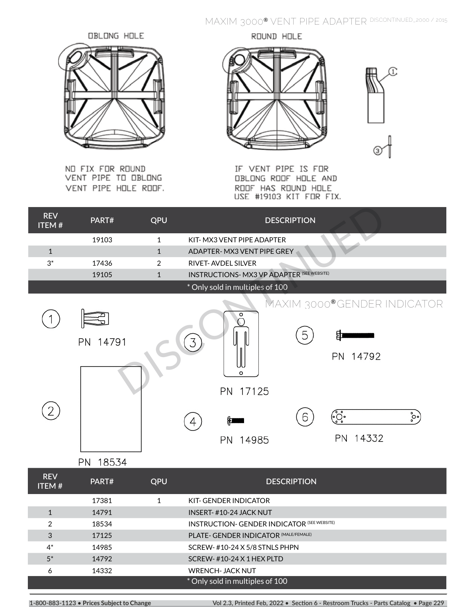**MAXIM 3000**® **FRONT ASSEMBLY DISCONTINUED\_2000 / 2015 MAXIM 3000**® **VENT PIPE ADAPTER DISCONTINUED\_2000 / 2015**

OBLONG HOLE

NO FIX FOR ROUND VENT PIPE TO OBLONG VENT PIPE HOLE ROOF.

ROUND HOLE



IF VENT PIPE IS FOR OBLONG ROOF HOLE AND ROOF HAS ROUND HOLE USE #19103 KIT FOR FIX.

| <b>REV</b><br><b>ITEM#</b> | PART#       | QPU            | <b>DESCRIPTION</b>                                                 |
|----------------------------|-------------|----------------|--------------------------------------------------------------------|
|                            | 19103       | $\mathbf{1}$   | KIT-MX3 VENT PIPE ADAPTER                                          |
| $1\,$                      |             | $\mathbf{1}$   | ADAPTER-MX3 VENT PIPE GREY                                         |
| $3^*$                      | 17436       | $\overline{2}$ | RIVET-AVDEL SILVER                                                 |
|                            | 19105       | $\mathbf{1}$   | <b>INSTRUCTIONS- MX3 VP ADAPTER (SEE WEBSITE)</b>                  |
|                            |             |                | * Only sold in multiples of 100                                    |
|                            | PN 14791    |                | MAXIM 3000®GENDER INDICATOR<br>5<br>3<br>PN 14792                  |
| 2                          |             |                | o<br>PN 17125<br>(<br>ိွ်•့<br>$\cdot \cdot \cdot \cdot$<br>6<br>缸 |
|                            | 18534<br>PN |                | PN 14332<br>PN 14985                                               |
| <b>REV</b>                 | DADT#       | $\bigcap \Pi$  | <b>DECCRIPTION</b>                                                 |

| .<br><b>ITEM#</b> | PART# | QPU | <b>DESCRIPTION</b>                                 |  |
|-------------------|-------|-----|----------------------------------------------------|--|
|                   | 17381 |     | KIT-GENDER INDICATOR                               |  |
|                   | 14791 |     | <b>INSERT-#10-24 JACK NUT</b>                      |  |
| 2                 | 18534 |     | <b>INSTRUCTION- GENDER INDICATOR (SEE WEBSITE)</b> |  |
| 3                 | 17125 |     | PLATE- GENDER INDICATOR (MALE/FEMALE)              |  |
| $4^*$             | 14985 |     | SCREW-#10-24 X 5/8 STNLS PHPN                      |  |
| $5^*$             | 14792 |     | SCREW- $#10-24$ X 1 HEX PLTD                       |  |
| 6                 | 14332 |     | <b>WRENCH-JACK NUT</b>                             |  |
|                   |       |     | * Only sold in multiples of 100                    |  |

1-800-883-1123 • Prices Subject to Change Value of the Collection of School of School of School Trucks - Parts Catalog • Page 229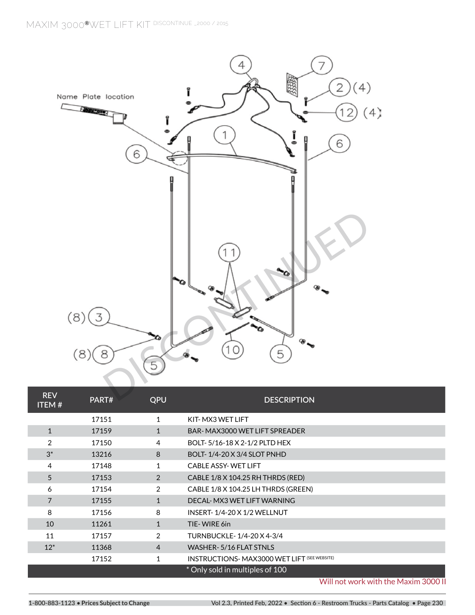

| <b>REV</b><br><b>ITEM#</b> | PART# | QPU            | <b>DESCRIPTION</b>                                  |  |
|----------------------------|-------|----------------|-----------------------------------------------------|--|
|                            | 17151 | 1              | KIT-MX3 WET LIFT                                    |  |
| $\mathbf{1}$               | 17159 | $\mathbf{1}$   | BAR-MAX3000 WET LIFT SPREADER                       |  |
| 2                          | 17150 | 4              | BOLT-5/16-18 X 2-1/2 PLTD HEX                       |  |
| $3^*$                      | 13216 | 8              | BOLT-1/4-20 X 3/4 SLOT PNHD                         |  |
| 4                          | 17148 | $\mathbf{1}$   | <b>CABLE ASSY-WET LIFT</b>                          |  |
| 5                          | 17153 | $\mathcal{P}$  | CABLE 1/8 X 104.25 RH THRDS (RED)                   |  |
| 6                          | 17154 | 2              | CABLE 1/8 X 104.25 LH THRDS (GREEN)                 |  |
| 7                          | 17155 | 1              | DECAL- MX3 WET LIFT WARNING                         |  |
| 8                          | 17156 | 8              | <b>INSERT-1/4-20 X 1/2 WELLNUT</b>                  |  |
| 10                         | 11261 | $\mathbf{1}$   | TIE-WIRE 6in                                        |  |
| 11                         | 17157 | $\mathcal{P}$  | TURNBUCKLE-1/4-20 X 4-3/4                           |  |
| $12*$                      | 11368 | $\overline{4}$ | WASHER-5/16 FLAT STNLS                              |  |
|                            | 17152 | 1              | <b>INSTRUCTIONS- MAX3000 WET LIFT (SEE WEBSITE)</b> |  |
|                            |       |                | * Only sold in multiples of 100                     |  |

Will not work with the Maxim 3000 II